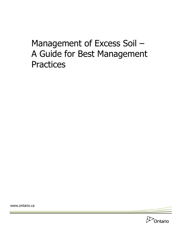# Management of Excess Soil – A Guide for Best Management **Practices**

www.ontario.ca

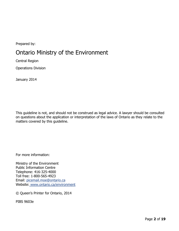Prepared by:

## Ontario Ministry of the Environment

Central Region

Operations Division

January 2014

This guideline is not, and should not be construed as legal advice. A lawyer should be consulted on questions about the application or interpretation of the laws of Ontario as they relate to the matters covered by this guideline.

For more information:

Ministry of the Environment Public Information Centre Telephone: 416-325-4000 Toll free: 1-800-565-4923 Email: picemail.moe@ontario.ca Website: [www.ontario.ca/environment](http://www.ontario.ca/environment)

© Queen's Printer for Ontario, 2014

PIBS 9603e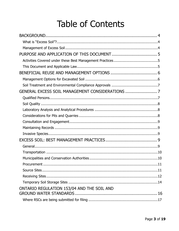# **Table of Contents**

| ONTARIO REGULATION 153/04 AND THE SOIL AND |  |
|--------------------------------------------|--|
|                                            |  |
|                                            |  |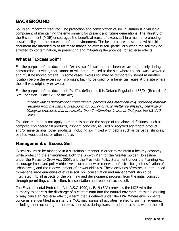## **BACKGROUND**

Soil is an important resource. The protection and conservation of soil in Ontario is a valuable component of maintaining the environment for present and future generations. The Ministry of the Environment (MOE) encourages the beneficial reuse of excess soil in a manner promoting sustainability and the protection of the environment. The best practices described within this document are intended to assist those managing excess soil, particularly when the soil may be affected by contamination, in preventing and mitigating the potential for adverse effects.

#### **What is "Excess Soil"?**

For the purpose of this document, "excess soil" is soil that has been excavated, mainly during construction activities, that cannot or will not be reused at the site where the soil was excavated and must be moved off site. In some cases, excess soil may be temporarily stored at another location before the excess soil is brought back to be used for a beneficial reuse at the site where the soil was originally excavated.

For the purpose of this document, "soil" is defined as it is Ontario Regulation 153/04 (Records of Site Condition – Part XV.1 of the Act):

unconsolidated naturally occurring mineral particles and other naturally occurring material resulting from the natural breakdown of rock or organic matter by physical, chemical or biological processes that are smaller than 2 millimetres in size or that pass the US #10 sieve.

This document does not apply to materials outside the scope of the above definitions, such as compost, engineered fill products, asphalt, concrete, re-used or recycled aggregate product and/or mine tailings, other products, including soil mixed with debris such as garbage, shingles, painted wood, ashes, or other refuse.

#### **Management of Excess Soil**

Excess soil must be managed in a sustainable manner in order to maintain a healthy economy while protecting the environment. Both the Growth Plan for the Greater Golden Horseshoe, under the Places to Grow Act, 2005, and the Provincial Policy Statement under the Planning Act encourage important policy objectives, such as new or renewed infrastructure, intensification of urban areas, and the redevelopment of brownfield sites. These activities often result in the need to manage large quantities of excess soil. Soil conservation and management should be integrated into all aspects of the planning and development process, from the initial concept, through permitting, construction, transportation and reuse of excess soil.

The Environmental Protection Act, R.S.O 1990, c. E.19 (EPA) provides the MOE with the authority to address the discharge of a contaminant into the natural environment that is causing or may cause an "adverse effect", a term that is defined under the EPA. Where environmental concerns are identified at a site, the MOE may assess all activities related to soil management, including those occurring at the excavation site, during transportation or at sites where the soil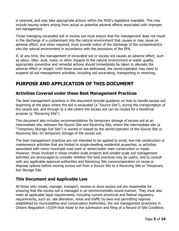is received, and may take appropriate actions within the MOE's legislative mandate. This may include issuing orders arising from actual or potential adverse effects associated with improper soil management.

Those managing excavated soil or excess soil must ensure that the management does not result in the discharge of a contaminant into the natural environment that causes or may cause an adverse effect, and when required, must provide notice of the discharge of the contaminant(s) into the natural environment in accordance with the provisions of the EPA.

If, at any time, the management of excavated soil or excess soil causes an adverse effect, such as odour, litter, dust, noise, or other impacts to the natural environment or water quality, appropriate preventive and remedial actions should immediately be taken to alleviate the adverse effect or impact. Until these issues are addressed, the owner/operator may need to suspend all soil management activities, including soil excavating, transporting or receiving.

## **PURPOSE AND APPLICATION OF THIS DOCUMENT**

#### **Activities Covered under these Best Management Practices**

The best management practices in this document provide guidance on how to handle excess soil beginning at the place where the soil is excavated (a "Source Site"), during the transportation of the excess soil, and through to a site where the excess soil can be reused for a beneficial purpose (a "Receiving Site").

This document also includes recommendations for temporary storage of excess soil at an intermediate site, between the Source Site and Receiving Site, where the intermediate site (a "Temporary Storage Soil Site") is owned or leased by the owner/operator of the Source Site or Receiving Site, for temporary storage of the excess soil.

The best management practices are not intended to be applied to small, low-risk construction or maintenance activities that are limited to single-dwelling residential properties, or activities associated with minor municipal road work or sewer/water main construction or repair. However, those involved in these smaller-scale projects and smaller-scale soil management activities are encouraged to consider whether the best practices may be useful, and to consult with any applicable approval authorities and Receiving Site owners/operators on reuse or disposal options before moving excess soil from a Source Site to a Receiving Site or Temporary Soil Storage Site.

#### **This Document and Applicable Law**

All those who create, manage, transport, receive or store excess soil are responsible for ensuring that the excess soil is managed in an environmentally sound manner. They must also meet all applicable legal requirements, including current provincial and federal regulatory requirements, such as: site alteration, noise and traffic by-laws and permitting regimes established by municipalities and Conservation Authorities; the soil management provisions in Ontario Regulation 153/04 that relate to the submission and filing of a Record of Site Condition;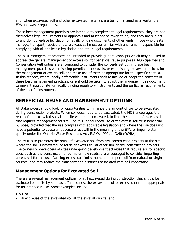and, when excavated soil and other excavated materials are being managed as a waste, the EPA and waste regulations.

These best management practices are intended to complement legal requirements; they are not themselves legal requirements or approvals and must not be taken to be, and they are subject to and do not replace legislation or legally binding documents of other kinds. Those who create, manage, transport, receive or store excess soil must be familiar with and remain responsible for complying with all applicable legislation and other legal requirements.

The best management practices are intended to provide general concepts which may be used to address the general management of excess soil for beneficial reuse purposes. Municipalities and Conservation Authorities are encouraged to consider the concepts set out in these best management practices when issuing permits or approvals, or establishing by-laws or policies for the management of excess soil, and make use of them as appropriate for the specific context. In this respect, where legally enforceable instruments seek to include or adopt the concepts in these best management practices, care should be taken to adapt the language in this document to make it appropriate for legally binding regulatory instruments and the particular requirements of the specific instrument.

## **BENEFICIAL REUSE AND MANAGEMENT OPTIONS**

All stakeholders should look for opportunities to minimize the amount of soil to be excavated during construction projects. When soil does need to be excavated, the MOE encourages the reuse of the excavated soil at the site where it is excavated, to limit the amount of excess soil that requires management off site. The MOE encourages use of the excess soil for a beneficial purpose, provided that the use complies with applicable legislation and where the use does not have a potential to cause an adverse effect within the meaning of the EPA, or impair water quality under the Ontario Water Resources Act, R.S.O. 1990, c. O.40 (OWRA).

The MOE also promotes the reuse of excavated soil from civil construction projects at the site where the soil is excavated, or reuse of excess soil at other similar civil construction projects. The owners or developers of sites undergoing development activities that require soil for specific uses, such as the construction of berms or new roads, are encouraged to consider importing excess soil for this use. Reusing excess soil limits the need to import soil from natural or virgin sources, and may reduce the transportation distances associated with soil importation.

#### **Management Options for Excavated Soil**

There are several management options for soil excavated during construction that should be evaluated on a site by site basis. In all cases, the excavated soil or excess should be appropriate for its intended reuse. Some examples include:

#### **On site**

direct reuse of the excavated soil at the excavation site; and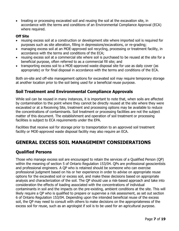treating or processing excavated soil and reusing the soil at the excavation site, in accordance with the terms and conditions of an Environmental Compliance Approval (ECA) where required.

#### **Off Site**

- reusing excess soil at a construction or development site where imported soil is required for purposes such as site alteration, filling in depressions/excavations, or re-grading;
- managing excess soil at an MOE-approved soil recycling, processing or treatment facility, in accordance with the terms and conditions of the ECA;
- reusing excess soil at a commercial site where soil is purchased to be reused at the site for a beneficial purpose, often referred to as a commercial fill site; and
- transporting excess soil to a MOE-approved waste disposal site for use as daily cover (as appropriate) or for final disposal in accordance with the terms and conditions of the ECA.

Both on-site and off-site management options for excavated soil may require temporary storage at another location prior to the soil being used for a beneficial reuse purpose.

#### **Soil Treatment and Environmental Compliance Approvals**

While soil can be reused in many instances, it is important to note that, when soils are affected by contamination to the point where they cannot be directly reused at the site where they were excavated or at a Receiving Site, treatment and processing options may be available to reduce the concentrations of contaminants. Soil treatment or processing facilities are not the subject matter of this document. The establishment and operation of soil treatment or processing facilities is subject to ECA requirements under the EPA.

Facilities that receive soil for storage prior to transportation to an approved soil treatment facility or MOE-approved waste disposal facility may also require an ECA.

### **GENERAL EXCESS SOIL MANAGEMENT CONSIDERATIONS**

#### **Qualified Persons**

Those who manage excess soil are encouraged to retain the services of a Qualified Person (QP) within the meaning of section 5 of Ontario Regulation 153/04. QPs are professional geoscientists and professional engineers. A QP who is retained should be someone who can exercise professional judgment based on his or her experience in order to advise on appropriate reuse options for the excavated soil or excess soil, and make these decisions based on appropriate analysis and characterization of the soil. The QP should use a risk-based approach and take into consideration the effects of loading associated with the concentrations of individual contaminants in soil and the impacts on the pre-existing, ambient conditions at the site. This will likely require a QP who is qualified to prepare or supervise a risk assessment, as set out section 6 of Ontario Regulation 153/04. Depending upon the intended beneficial reuse of the excess soil, the QP may need to consult with others to make decisions on the appropriateness of the excess soil for reuse, such as an agrologist if soil is to be used for an agricultural purpose.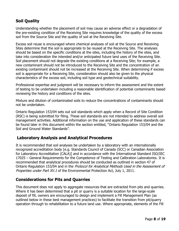#### **Soil Quality**

Understanding whether the placement of soil may cause an adverse effect or a degradation of the pre-existing condition of the Receiving Site requires knowledge of the quality of the excess soil from the Source Site and the quality of soil at the Receiving Site.

Excess soil reuse is encouraged where chemical analyses of soil at the Source and Receiving Sites determine that the soil is appropriate to be reused at the Receiving Site. The analyses should be based on the specific conditions at the sites, including the history of the sites, and take into consideration the intended and/or anticipated future land uses of the Receiving Site. Soil placement should not degrade the existing conditions at a Receiving Site; for example, a new contaminant should not be introduced to the Receiving Site and the concentration of an existing contaminant should not be increased at the Receiving Site. When determining if excess soil is appropriate for a Receiving Site, consideration should also be given to the physical characteristics of the excess soil, including soil type and geotechnical suitability.

Professional expertise and judgment will be necessary to inform the assessment and the extent of testing to be undertaken including a reasonable identification of potential contaminants based reviewing the history and conditions of the sites.

Mixture and dilution of contaminated soils to reduce the concentrations of contaminants should not be undertaken.

Ontario Regulation 153/04 sets out soil standards which apply when a Record of Site Condition (RSC) is being submitted for filing. These soil standards are not intended to address overall soil management activities. Additional information on the use and application of these standards can be found later in this document within the section entitled, "Ontario Regulation 153/04 and the Soil and Ground Water Standards".

#### **Laboratory Analysis and Analytical Procedures**

It is recommended that soil analyses be undertaken by a laboratory with an internationally recognized accreditation body [e.g. Standards Council of Canada (SCC) or Canadian Association for Laboratory Accreditation (CALA)] and in accordance with the International Standard ISO/IEC 17025 – General Requirements for the Competence of Testing and Calibration Laboratories. It is recommended that analytical procedures should be conducted as outlined in section 47 of Ontario Regulation 153/04 and in the Protocol for Analytical Methods Used in the Assessment of Properties under Part XV.1 of the Environmental Protection Act, July 1, 2011.

#### **Considerations for Pits and Quarries**

This document does not apply to aggregate resources that are extracted from pits and quarries. Where it has been determined that a pit or quarry is a suitable location for the large-scale deposit of fill, owners are encouraged to design and implement a Fill Management Plan (as outlined below in these best management practices) to facilitate the transition from pit/quarry operation through to rehabilitation to a future land use. Where appropriate, elements of the Fill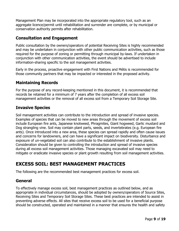Management Plan may be incorporated into the appropriate regulatory tool, such as an aggregate licence/permit until rehabilitation and surrender are complete, or by municipal or conservation authority permits after rehabilitation.

#### **Consultation and Engagement**

Public consultation by the owners/operators of potential Receiving Sites is highly recommended and may be undertaken in conjunction with other public communication activities, such as those required for the purpose of zoning or permitting through municipal by-laws. If undertaken in conjunction with other communication activities, the event should be advertised to include information-sharing specific to the soil management activities.

Early in the process, proactive engagement with First Nations and Métis is recommended for those community partners that may be impacted or interested in the proposed activity.

#### **Maintaining Records**

For the purpose of any record-keeping mentioned in this document, it is recommended that records be retained for a minimum of 7 years after the completion of all excess soil management activities or the removal of all excess soil from a Temporary Soil Storage Site.

#### **Invasive Species**

Soil management activities can contribute to the introduction and spread of invasive species. Examples of species that can be moved to new areas through the movement of excess soil include European fire ants, Japanese knotweed, Phragmites, Giant hogweed, Garlic mustard and Dog strangling vine. Soil may contain plant parts, seeds, and invertebrates (e.g. European fire ants). Once introduced into a new area, these species can spread rapidly and often cause issues and concerns for landowners, and can have a significant impact on biodiversity. Disturbance and exposure of un-vegetated soil can also contribute to the establishment of invasive plants. Consideration should be given to controlling the introduction and spread of invasive species during all excess soil management activities. Those managing excavated soil may need to mitigate or eradicate invasive species or plant growth resulting from soil management activities.

### **EXCESS SOIL: BEST MANAGEMENT PRACTICES**

The following are the recommended best management practices for excess soil.

#### **General**

To effectively manage excess soil, best management practices as outlined below, and as appropriate in individual circumstances, should be adopted by owners/operators of Source Sites, Receiving Sites and Temporary Soil Storage Sites. These best practices are intended to assist in preventing adverse effects. All sites that receive excess soil to be used for a beneficial purpose should be constructed, operated and maintained in a manner that ensures the health and safety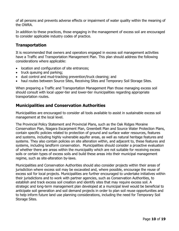of all persons and prevents adverse effects or impairment of water quality within the meaning of the OWRA.

In addition to these practices, those engaging in the management of excess soil are encouraged to consider applicable industry codes of practice.

#### **Transportation**

It is recommended that owners and operators engaged in excess soil management activities have a Traffic and Transportation Management Plan. This plan should address the following considerations where applicable:

- location and configuration of site entrances;
- truck queuing and parking;
- dust control and mud-tracking prevention/truck cleaning; and
- haul routes between Source Sites, Receiving Sites and Temporary Soil Storage Sites.

When preparing a Traffic and Transportation Management Plan those managing excess soil should consult with local upper-tier and lower-tier municipalities regarding appropriate transportation routes.

#### **Municipalities and Conservation Authorities**

Municipalities are encouraged to consider all tools available to assist in sustainable excess soil management at the local level.

The Provincial Policy Statement and Provincial Plans, such as the Oak Ridges Moraine Conservation Plan, Niagara Escarpment Plan, Greenbelt Plan and Source Water Protection Plans, contain specific policies related to protection of ground and surface water resources, features and systems, including highly vulnerable aquifer areas, as well as natural heritage features and systems. They also contain policies on site alteration within, and adjacent to, these features and systems, including landform conservation. Municipalities should consider a proactive evaluation of whether there are areas within the municipality which are not suitable for receiving excess soils or certain types of excess soils and build these areas into their municipal management regime, such as site-alteration by-laws.

Municipalities and Conservation Authorities should also consider projects within their areas of jurisdiction where excess soil may be excavated and, where possible, encourage the reuse of excess soil for local projects. Municipalities are further encouraged to undertake initiatives within their jurisdictions and to work with partner agencies, such as Conservation Authorities, to establish and track excess soil creation and identify sites that may require excess soil. A strategic and long-term management plan developed at a municipal level would be beneficial to anticipate soil generation and soil demand projects in order to plan soil reuse opportunities and to help inform future land use planning considerations, including the need for Temporary Soil Storage Sites.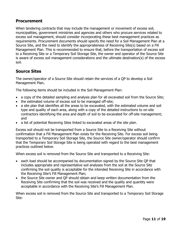#### **Procurement**

When tendering contracts that may include the management or movement of excess soil, municipalities, government ministries and agencies and others who procure services related to excess soil management, should consider incorporating these best management practices as requirements. Procurement documents should specify the need for a Soil Management Plan at a Source Site, and the need to identify the appropriateness of Receiving Site(s) based on a Fill Management Plan. This is recommended to ensure that, before the transportation of excess soil to a Receiving Site or a Temporary Soil Storage Site, the owner and operator of the Source Site is aware of excess soil management considerations and the ultimate destination(s) of the excess soil.

#### **Source Sites**

The owner/operator of a Source Site should retain the services of a QP to develop a Soil Management Plan**.**

The following items should be included in the Soil Management Plan:

- a copy of the detailed sampling and analysis plan for all excavated soil from the Source Site;
- the estimated volume of excess soil to be managed off-site;
- a site plan that identifies all the areas to be excavated, with the estimated volume and soil type and quality of each area, along with a copy of the detailed instructions to on-site contractors identifying the area and depth of soil to be excavated for off-site management; and
- a list of potential Receiving Sites linked to excavated areas of the site plan.

Excess soil should not be transported from a Source Site to a Receiving Site without confirmation that a Fill Management Plan exists for the Receiving Site. For excess soil being transported to a Temporary Soil Storage Site, the Source Site owner/operator should confirm that the Temporary Soil Storage Site is being operated with regard to the best management practices outlined below.

When excess soil is removed from the Source Site and transported to a Receiving Site:

- each load should be accompanied by documentation signed by the Source Site QP that includes appropriate and representative soil analyses from the soil at the Source Site confirming the soil quality is acceptable for the intended Receiving Site in accordance with the Receiving Site's Fill Management Plan;
- the Source Site owner and QP should obtain and keep written documentation from the Receiving Site confirming that the soil was received and the quality and quantity were acceptable in accordance with the Receiving Site's Fill Management Plan.

When excess soil is removed from the Source Site and transported to a Temporary Soil Storage Site: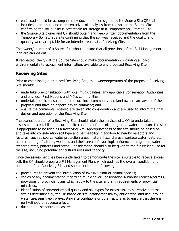- each load should be accompanied by documentation signed by the Source Site QP that includes appropriate and representative soil analyses from the soil at the Source Site confirming the soil quality is acceptable for storage at a Temporary Soil Storage Site;
- the Source Site owner and QP should obtain and keep written documentation from the Temporary Soil Storage Site confirming that the soil was received and the quality and quantity were acceptable for an intended reuse at a Receiving Site.

The owner/operator of a Source Site should ensure that all provisions of the Soil Management Plan are carried out.

If requested, the QP at the Source Site should make documentation, including all past environmental site assessment information, available to any proposed Receiving Site.

#### **Receiving Sites**

Prior to establishing a proposed Receiving Site, the owners/operators of the proposed Receiving Site should:

- undertake pre-consultation with local municipalities, any applicable Conservation Authorities and any local First Nations and Métis communities;
- undertake public consultation to ensure local community and land owners are aware of the proposal and have an opportunity to comment; and
- ensure the comments received are taken into consideration and are used to inform the final design and operation of the Receiving Site.

The owner/operator of a Receiving Site should retain the services of a QP to undertake an assessment to establish the current site condition of the soil and ground water to ensure the site is appropriate to be used as a Receiving Site. Appropriateness of the site should be based on, and take into consideration soil type and permeability in addition to nearby receptors and features, such as source water protection areas, natural hazard areas, surface water features, natural heritage features, wetlands and their areas of hydrologic influence, and ground water recharge rates, patterns and areas. Consideration should also be given to the future land use for the site, including potential agricultural uses and capacity.

Once the assessment has been undertaken to demonstrate the site is suitable to receive excess soil, the QP should prepare a Fill Management Plan, which outlines the overall condition and operation of the Receiving Site and should include the following:

- procedures to prevent the introduction of invasive plant or animal species;
- copies of any documentation regarding municipal or Conservation Authority licences/permits, provisions of provincial plans which apply to the site, and any requirements of provincial ministries;
- identification of appropriate soil quality and soil types for excess soil to be received at the site as determined by the QP based on site location/sensitivity, anticipated land use, ground water use/sensitivity, pre-existing site conditions or other factors as to ensure that there is no likelihood of adverse effect;
- dust and noise control measures;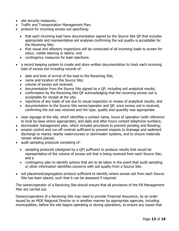- site security measures;
- Traffic and Transportation Management Plan;
- protocol for incoming excess soil specifying:
	- that each incoming load have documentation signed by the Source Site QP that includes appropriate and representative soil analyses confirming the soil quality is acceptable for the Receiving Site;
	- that visual and olfactory inspections will be conducted of all incoming loads to screen for odour, visible staining or debris; and
	- contingency measures for load rejections.
- a record keeping system to create and store written documentation to track each incoming load of excess soil including records of:
	- date and time of arrival of the load to the Receiving Site;
	- name and location of the Source Site;
	- volume of excess soil received;
	- documentation from the Source Site signed by a QP, including soil analytical results;
	- confirmation by the Receiving Site QP acknowledging that the incoming excess soil is acceptable for receipt at the site;
	- rejections of any loads of soil due to visual inspection or review of analytical results; and
	- documentation to the Source Site owner/operator and QP, once excess soil is received, confirming the soil was received and the type, quality and quantity was appropriate.
- clear signage at the site, which identifies a contact name, hours of operation (with reference to local by-laws where appropriate), and daily and after-hours contact telephone numbers;
- stormwater management plan, which includes provisions to prevent ponding and flooding;
- erosion control and run-off controls sufficient to prevent impacts to drainage and sediment discharge to nearby nearby watercourses or stormwater systems, and to ensure materials remain where placed;
- audit sampling protocols consisting of:
	- sampling protocols (designed by a QP) sufficient to produce results that would be representative of the volume of excess soil that is being received from each Source Site; and a
	- contingency plan to identify actions that are to be taken in the event that audit sampling or other information identifies concerns with soil quality from a Source Site.
- soil placement/segregation protocol sufficient to identify where excess soil from each Source Site has been placed, such that it can be assessed if required.

The owner/operator of a Receiving Site should ensure that all provisions of the Fill Management Plan are carried out.

Owners/operators of a Receiving Site may need to provide Financial Assurance, by an order issued by an MOE Regional Director or in another manner by appropriate agencies, including municipalities, before the site begins operating or during operations, to ensure any issues that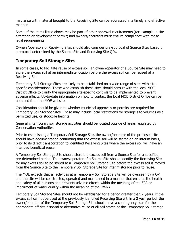may arise with material brought to the Receiving Site can be addressed in a timely and effective manner.

Some of the items listed above may be part of other approval requirements (for example, a site alteration or development permit) and owners/operators must ensure compliance with these legal requirements.

Owners/operators of Receiving Sites should also consider pre-approval of Source Sites based on a protocol determined by the Source Site and Receiving Site QPs.

#### **Temporary Soil Storage Sites**

In some cases, to facilitate reuse of excess soil, an owner/operator of a Source Site may need to store the excess soil at an intermediate location before the excess soil can be reused at a Receiving Site.

Temporary Soil Storage Sites are likely to be established on a wide range of sites with sitespecific considerations. Those who establish these sites should consult with the local MOE District Office to clarify the appropriate site-specific controls to be implemented to prevent adverse effects. Up-to-date information on how to contact the local MOE District Office can be obtained from the MOE website.

Consideration should be given to whether municipal approvals or permits are required for Temporary Soil Storage Sites. These may include local restrictions for storage site volumes as a permitted use, or stockpile heights.

Generally, temporary soil storage activities should be located outside of areas regulated by Conservation Authorities.

Prior to establishing a Temporary Soil Storage Site, the owner/operator of the proposed site should have documentation confirming that the excess soil will be stored on an interim basis, prior to its direct transportation to identified Receiving Sites where the excess soil will have an intended beneficial reuse.

A Temporary Soil Storage Site should store the excess soil from a Source Site for a specified, pre-determined period. The owner/operator of a Source Site should identify the Receiving Site for any excess soil to be stored at a Temporary Soil Storage Site before the excess soil is moved from the Source Site to the Temporary Soil Storage Site for interim storage prior to reuse.

The MOE expects that all activities at a Temporary Soil Storage Site will be overseen by a QP, and the site will be constructed, operated and maintained in a manner that ensures the health and safety of all persons and prevents adverse effects within the meaning of the EPA or impairment of water quality within the meaning of the OWRA.

Temporary Soil Storage Sites should not be established for a period greater than 2 years. If the excess soil cannot be used at the previously identified Receiving Site within a 2 year period, the owner/operator of the Temporary Soil Storage Site should have a contingency plan for the appropriate off-site disposal or alternative reuse of all soil stored at the Temporary Soil Storage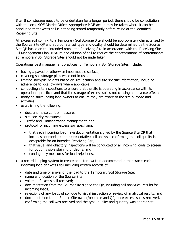Site. If soil storage needs to be undertaken for a longer period, there should be consultation with the local MOE District Office. Appropriate MOE action may be taken where it can be concluded that excess soil is not being stored temporarily before reuse at the identified Receiving Site.

All excess soil coming to a Temporary Soil Storage Site should be appropriately characterized by the Source Site QP and appropriate soil type and quality should be determined by the Source Site QP based on the intended reuse at a Receiving Site in accordance with the Receiving Site Fill Management Plan. Mixture and dilution of soil to reduce the concentrations of contaminants at Temporary Soil Storage Sites should not be undertaken.

Operational best management practices for Temporary Soil Storage Sites include:

- having a paved or otherwise impermeable surface;
- covering soil storage piles while not in use;
- limiting stockpile heights based on site location and site specific information, including adherence to local by-laws where applicable;
- conducting site inspections to ensure that the site is operating in accordance with its operational practices and that the storage of excess soil is not causing an adverse effect;
- notifying surrounding land owners to ensure they are aware of the site purpose and activities;
- establishing the following:
	- dust and noise control measures;
	- site security measures;
	- Traffic and Transportation Management Plan;
	- protocol for incoming excess soil specifying:
		- that each incoming load have documentation signed by the Source Site QP that includes appropriate and representative soil analyses confirming the soil quality is acceptable for an intended Receiving Site;
		- that visual and olfactory inspections will be conducted of all incoming loads to screen for odour, visible staining or debris; and
		- contingency measures for load rejections.
- a record keeping system to create and store written documentation that tracks each incoming load of excess soil including written records of:
	- date and time of arrival of the load to the Temporary Soil Storage Site;
	- name and location of the Source Site;
	- volume of excess soil received:
	- documentation from the Source Site signed the QP, including soil analytical results for incoming loads;
	- rejections of any loads of soil due to visual inspection or review of analytical results; and
	- documentation to the Source Site owner/operator and QP, once excess soil is received, confirming the soil was received and the type, quality and quantity was appropriate.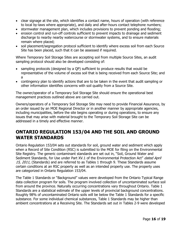- clear signage at the site, which identifies a contact name, hours of operation (with reference to local by-laws where appropriate), and daily and after-hours contact telephone numbers;
- stormwater management plan, which includes provisions to prevent ponding and flooding;
- erosion control and run-off controls sufficient to prevent impacts to drainage and sediment discharge to nearby nearby watercourse or stormwater systems, and to ensure materials remain where placed;
- soil placement/segregation protocol sufficient to identify where excess soil from each Source Site has been placed, such that it can be assessed if required.

Where Temporary Soil Storage Sites are accepting soil from multiple Source Sites, an audit sampling protocol should also be developed consisting of:

- sampling protocols (designed by a QP) sufficient to produce results that would be representative of the volume of excess soil that is being received from each Source Site; and a
- contingency plan to identify actions that are to be taken in the event that audit sampling or other information identifies concerns with soil quality from a Source Site.

The owner/operator of a Temporary Soil Storage Site should ensure the operational best management practices outlined above are carried out.

Owners/operators of a Temporary Soil Storage Site may need to provide Financial Assurance, by an order issued by an MOE Regional Director or in another manner by appropriate agencies, including municipalities, before the site begins operating or during operations, to ensure any issues that may arise with material brought to the Temporary Soil Storage Site can be addressed in a timely and effective manner.

### **ONTARIO REGULATION 153/04 AND THE SOIL AND GROUND WATER STANDARDS**

Ontario Regulation 153/04 sets out standards for soil, ground water and sediment which apply when a Record of Site Condition (RSC) is submitted to the MOE for filing on the Environmental Site Registry. The generic contaminant standards are set out in, "Soil, Ground Water and Sediment Standards, for Use under Part XV.1 of the Environmental Protection Act" dated April 15, 2011, (Standards) and are referred to as Tables 1 through 9. These Standards assume certain conditions at an RSC property as well as an intended property use. The property uses are categorized in Ontario Regulation 153/04.

The Table 1 Standards or "Background" values were developed from the Ontario Typical Range data collection program for soils. The program involved collection of uncontaminated surface soil from around the province. Naturally occurring concentrations vary throughout Ontario. Table 1 Standards are a statistical estimate of the upper levels of provincial background concentrations. Roughly 98% of uncontaminated Ontario soils will be below the Table 1 Standards for a specific substance. For some individual chemical substances, Table 1 Standards may be higher than ambient concentrations at a Receiving Site. The Standards set out in Tables 2-9 were developed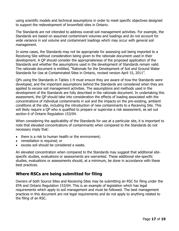using scientific models and technical assumptions in order to meet specific objectives designed to support the redevelopment of brownfield sites in Ontario.

The Standards are not intended to address overall soil management activities. For example, the Standards are based on assumed contaminant volumes and loadings and do not account for wide variance in soil volume and contaminant loadings which may occur with general soil management.

In some cases, the Standards may not be appropriate for assessing soil being imported to a Receiving Site without consideration being given to the rationale document used in their development. A QP should consider the appropriateness of the proposed application of the Standards and whether the assumptions used in the development of Standards remain valid. The rationale document is entitled, "Rationale for the Development of Soil and Ground Water Standards for Use at Contaminated Sites in Ontario, revised version April 15, 2011".

QPs using the Standards in Tables 1-9 must ensure they are aware of how the Standards were developed, and the important assumptions behind the Standards are considered when they are applied to excess soil management activities. The assumptions and methods used in the development of the Standards are fully described in the rationale document. In undertaking this assessment, the QP should take into consideration the effects of loading associated with the concentrations of individual contaminants in soil and the impacts on the pre-existing, ambient conditions at the site, including the introduction of new contaminants to a Receiving Site. This will likely require a QP who is qualified to prepare or supervise a risk assessment, as set out section 6 of Ontario Regulation 153/04.

When considering the applicability of the Standards for use at a particular site, it is important to note that elevated concentrations of contaminants when compared to the Standards do not necessary imply that:

- there is a risk to human health or the environment;
- remediation is required; or
- excess soil should be considered a waste.

An elevated concentration when compared to the Standards may suggest that additional sitespecific studies, evaluations or assessments are warranted. These additional site-specific studies, evaluations or assessments should, at a minimum, be done in accordance with these best practices.

#### **Where RSCs are being submitted for filing**

Owners of both Source Sites and Receiving Sites may be submitting an RSC for filing under the EPA and Ontario Regulation 153/04. This is an example of legislation which has legal requirements which apply to soil management and must be followed. The best management practices in this document are not legal requirements and do not apply to anything related to the filing of an RSC.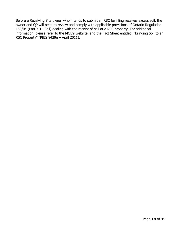Before a Receiving Site owner who intends to submit an RSC for filing receives excess soil, the owner and QP will need to review and comply with applicable provisions of Ontario Regulation 153/04 (Part XII - Soil) dealing with the receipt of soil at a RSC property. For additional information, please refer to the MOE's website, and the Fact Sheet entitled, "Bringing Soil to an RSC Property" (PIBS 8429e – April 2011).